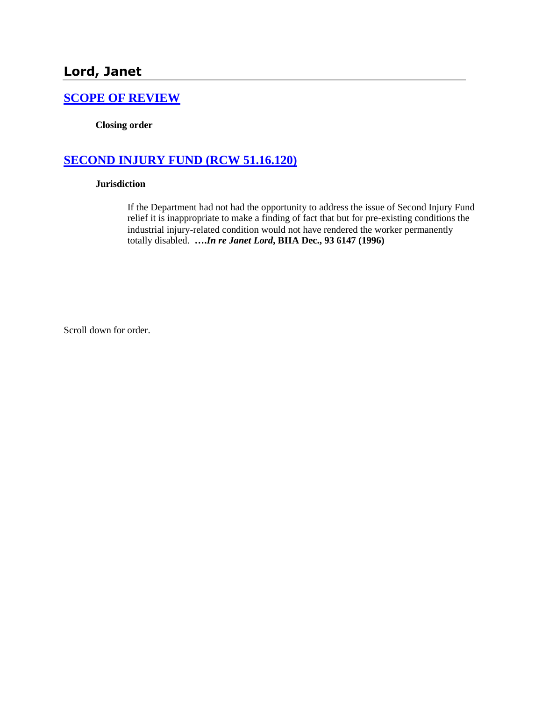## **[SCOPE OF REVIEW](http://www.biia.wa.gov/SDSubjectIndex.html#SCOPE_OF_REVIEW)**

**Closing order**

# **[SECOND INJURY FUND \(RCW 51.16.120\)](http://www.biia.wa.gov/SDSubjectIndex.html#SECOND_INJURY_FUND)**

#### **Jurisdiction**

If the Department had not had the opportunity to address the issue of Second Injury Fund relief it is inappropriate to make a finding of fact that but for pre-existing conditions the industrial injury-related condition would not have rendered the worker permanently totally disabled. **….***In re Janet Lord***, BIIA Dec., 93 6147 (1996)** 

Scroll down for order.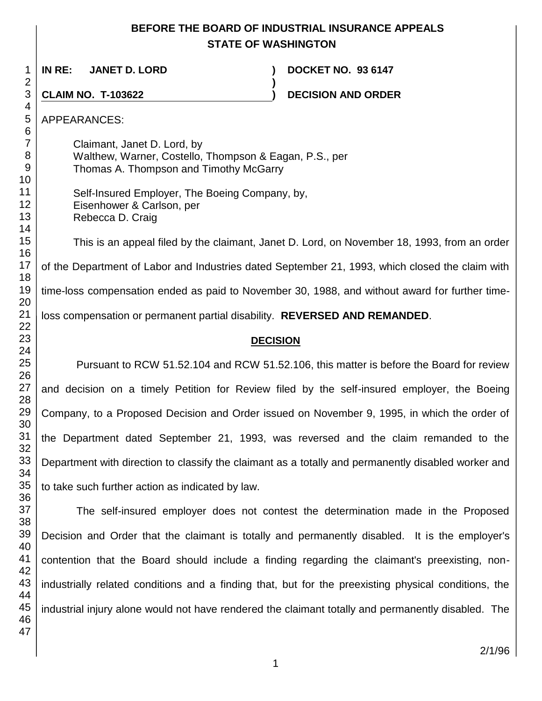## **BEFORE THE BOARD OF INDUSTRIAL INSURANCE APPEALS STATE OF WASHINGTON**

**)**

 **IN RE: JANET D. LORD ) DOCKET NO. 93 6147**

**CLAIM NO. T-103622 ) DECISION AND ORDER** 

APPEARANCES:

Claimant, Janet D. Lord, by Walthew, Warner, Costello, Thompson & Eagan, P.S., per Thomas A. Thompson and Timothy McGarry

Self-Insured Employer, The Boeing Company, by, Eisenhower & Carlson, per Rebecca D. Craig

This is an appeal filed by the claimant, Janet D. Lord, on November 18, 1993, from an order of the Department of Labor and Industries dated September 21, 1993, which closed the claim with time-loss compensation ended as paid to November 30, 1988, and without award for further timeloss compensation or permanent partial disability. **REVERSED AND REMANDED**.

## **DECISION**

Pursuant to RCW 51.52.104 and RCW 51.52.106, this matter is before the Board for review and decision on a timely Petition for Review filed by the self-insured employer, the Boeing Company, to a Proposed Decision and Order issued on November 9, 1995, in which the order of the Department dated September 21, 1993, was reversed and the claim remanded to the Department with direction to classify the claimant as a totally and permanently disabled worker and to take such further action as indicated by law.

The self-insured employer does not contest the determination made in the Proposed Decision and Order that the claimant is totally and permanently disabled. It is the employer's contention that the Board should include a finding regarding the claimant's preexisting, nonindustrially related conditions and a finding that, but for the preexisting physical conditions, the industrial injury alone would not have rendered the claimant totally and permanently disabled. The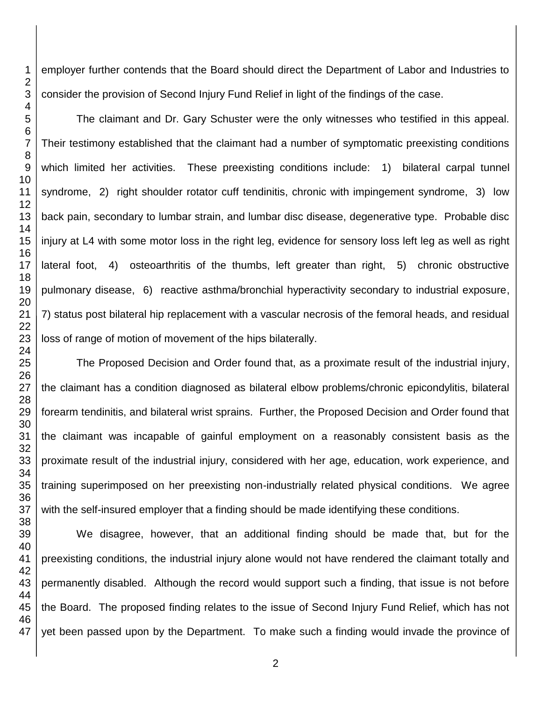employer further contends that the Board should direct the Department of Labor and Industries to consider the provision of Second Injury Fund Relief in light of the findings of the case.

The claimant and Dr. Gary Schuster were the only witnesses who testified in this appeal. Their testimony established that the claimant had a number of symptomatic preexisting conditions which limited her activities. These preexisting conditions include: 1) bilateral carpal tunnel syndrome, 2) right shoulder rotator cuff tendinitis, chronic with impingement syndrome, 3) low back pain, secondary to lumbar strain, and lumbar disc disease, degenerative type. Probable disc injury at L4 with some motor loss in the right leg, evidence for sensory loss left leg as well as right lateral foot, 4) osteoarthritis of the thumbs, left greater than right, 5) chronic obstructive pulmonary disease, 6) reactive asthma/bronchial hyperactivity secondary to industrial exposure, 7) status post bilateral hip replacement with a vascular necrosis of the femoral heads, and residual loss of range of motion of movement of the hips bilaterally.

The Proposed Decision and Order found that, as a proximate result of the industrial injury, the claimant has a condition diagnosed as bilateral elbow problems/chronic epicondylitis, bilateral forearm tendinitis, and bilateral wrist sprains. Further, the Proposed Decision and Order found that the claimant was incapable of gainful employment on a reasonably consistent basis as the proximate result of the industrial injury, considered with her age, education, work experience, and training superimposed on her preexisting non-industrially related physical conditions. We agree with the self-insured employer that a finding should be made identifying these conditions.

 We disagree, however, that an additional finding should be made that, but for the preexisting conditions, the industrial injury alone would not have rendered the claimant totally and permanently disabled. Although the record would support such a finding, that issue is not before the Board. The proposed finding relates to the issue of Second Injury Fund Relief, which has not yet been passed upon by the Department. To make such a finding would invade the province of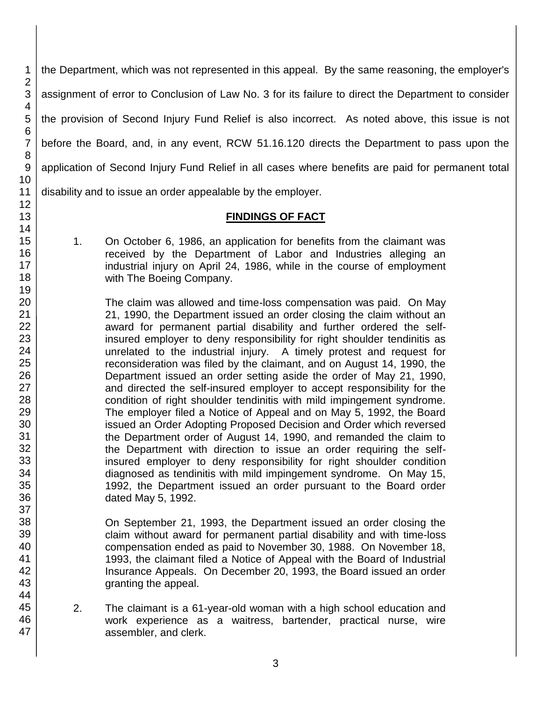the Department, which was not represented in this appeal. By the same reasoning, the employer's assignment of error to Conclusion of Law No. 3 for its failure to direct the Department to consider the provision of Second Injury Fund Relief is also incorrect. As noted above, this issue is not before the Board, and, in any event, RCW 51.16.120 directs the Department to pass upon the application of Second Injury Fund Relief in all cases where benefits are paid for permanent total disability and to issue an order appealable by the employer.

#### **FINDINGS OF FACT**

1. On October 6, 1986, an application for benefits from the claimant was received by the Department of Labor and Industries alleging an industrial injury on April 24, 1986, while in the course of employment with The Boeing Company.

The claim was allowed and time-loss compensation was paid. On May 21, 1990, the Department issued an order closing the claim without an award for permanent partial disability and further ordered the selfinsured employer to deny responsibility for right shoulder tendinitis as unrelated to the industrial injury. A timely protest and request for reconsideration was filed by the claimant, and on August 14, 1990, the Department issued an order setting aside the order of May 21, 1990, and directed the self-insured employer to accept responsibility for the condition of right shoulder tendinitis with mild impingement syndrome. The employer filed a Notice of Appeal and on May 5, 1992, the Board issued an Order Adopting Proposed Decision and Order which reversed the Department order of August 14, 1990, and remanded the claim to the Department with direction to issue an order requiring the selfinsured employer to deny responsibility for right shoulder condition diagnosed as tendinitis with mild impingement syndrome. On May 15, 1992, the Department issued an order pursuant to the Board order dated May 5, 1992.

On September 21, 1993, the Department issued an order closing the claim without award for permanent partial disability and with time-loss compensation ended as paid to November 30, 1988. On November 18, 1993, the claimant filed a Notice of Appeal with the Board of Industrial Insurance Appeals. On December 20, 1993, the Board issued an order granting the appeal.

3

2. The claimant is a 61-year-old woman with a high school education and work experience as a waitress, bartender, practical nurse, wire assembler, and clerk.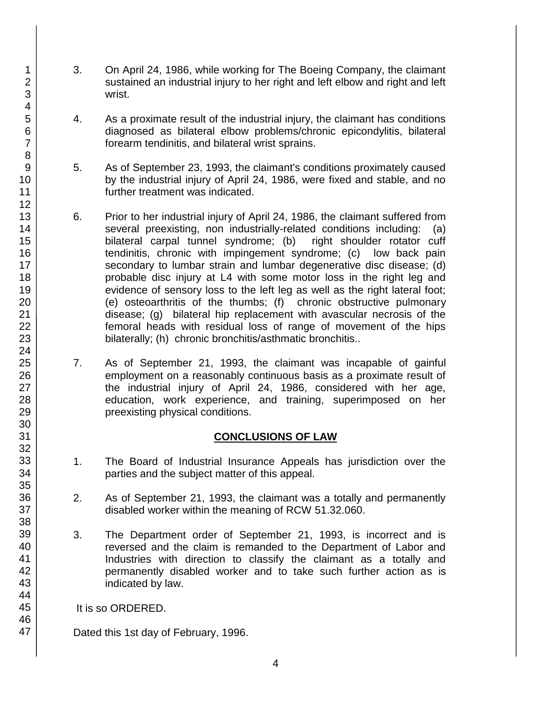- 3. On April 24, 1986, while working for The Boeing Company, the claimant sustained an industrial injury to her right and left elbow and right and left wrist.
- 4. As a proximate result of the industrial injury, the claimant has conditions diagnosed as bilateral elbow problems/chronic epicondylitis, bilateral forearm tendinitis, and bilateral wrist sprains.
- 5. As of September 23, 1993, the claimant's conditions proximately caused by the industrial injury of April 24, 1986, were fixed and stable, and no further treatment was indicated.
- 6. Prior to her industrial injury of April 24, 1986, the claimant suffered from several preexisting, non industrially-related conditions including: (a) bilateral carpal tunnel syndrome; (b) right shoulder rotator cuff tendinitis, chronic with impingement syndrome; (c) low back pain secondary to lumbar strain and lumbar degenerative disc disease; (d) probable disc injury at L4 with some motor loss in the right leg and evidence of sensory loss to the left leg as well as the right lateral foot; (e) osteoarthritis of the thumbs; (f) chronic obstructive pulmonary disease; (g) bilateral hip replacement with avascular necrosis of the femoral heads with residual loss of range of movement of the hips bilaterally; (h) chronic bronchitis/asthmatic bronchitis..
- 7. As of September 21, 1993, the claimant was incapable of gainful employment on a reasonably continuous basis as a proximate result of the industrial injury of April 24, 1986, considered with her age, education, work experience, and training, superimposed on her preexisting physical conditions.

#### **CONCLUSIONS OF LAW**

- 1. The Board of Industrial Insurance Appeals has jurisdiction over the parties and the subject matter of this appeal.
- 2. As of September 21, 1993, the claimant was a totally and permanently disabled worker within the meaning of RCW 51.32.060.
- 3. The Department order of September 21, 1993, is incorrect and is reversed and the claim is remanded to the Department of Labor and Industries with direction to classify the claimant as a totally and permanently disabled worker and to take such further action as is indicated by law.

It is so ORDERED.

Dated this 1st day of February, 1996.